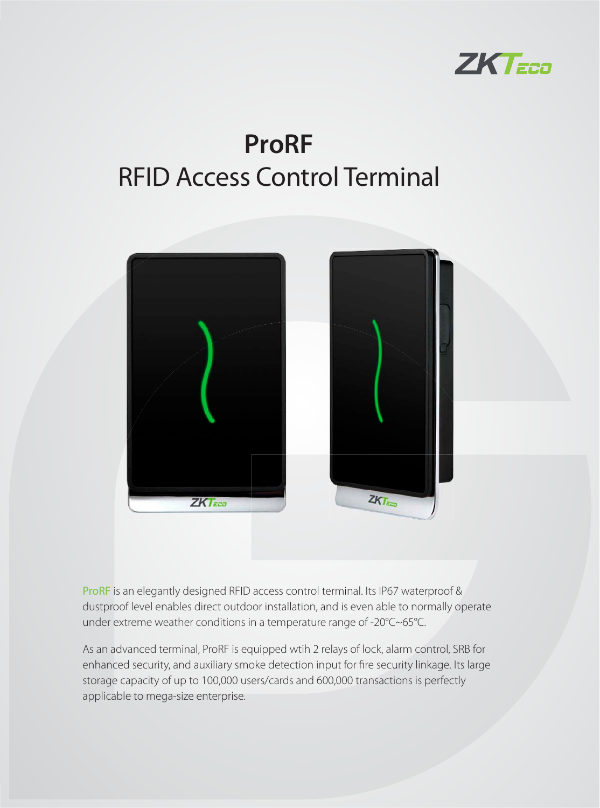

# **ProRF** RFID Access Control Terminal



ProRF is an elegantly designed RFID access control terminal. Its IP67 waterproof & dustproof level enables direct outdoor installation, and is even able to normally operate under extreme weather conditions in a temperature range of -20°C~65°C.

As an advanced terminal, ProRF is equipped wtih 2 relays of lock, alarm control, SRB for enhanced security, and auxiliary smoke detection input for fire security linkage. Its large storage capacity of up to 100,000 users/cards and 600,000 transactions is perfectly applicable to mega-size enterprise.